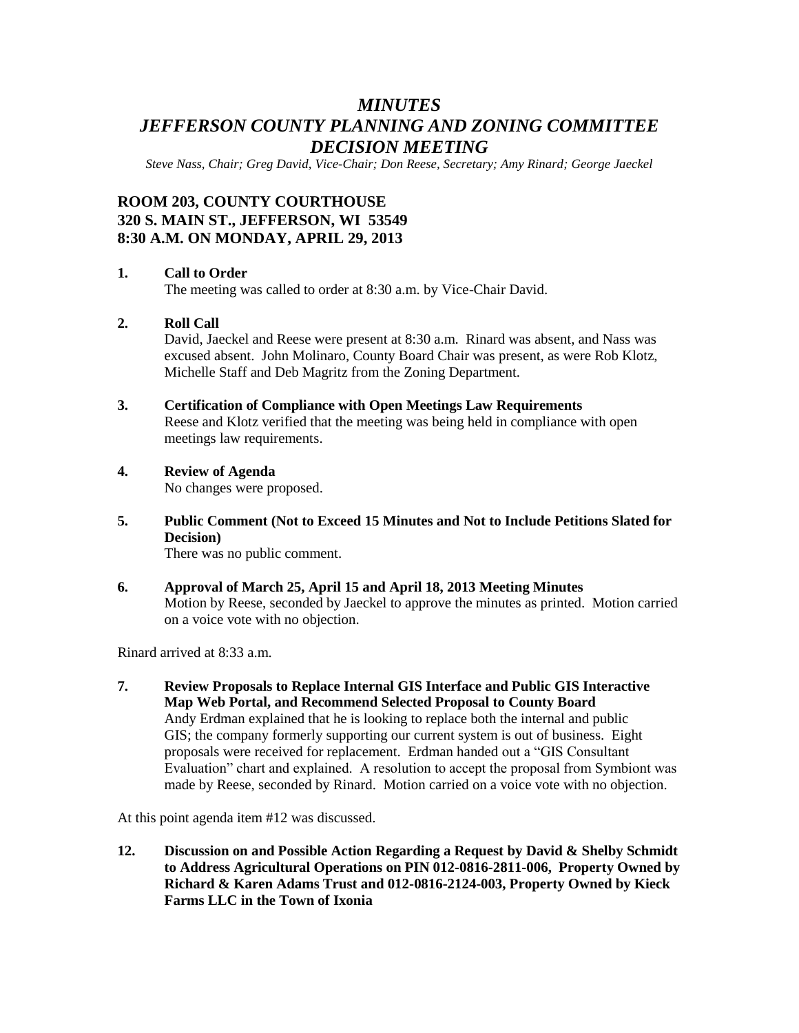## *MINUTES JEFFERSON COUNTY PLANNING AND ZONING COMMITTEE DECISION MEETING*

*Steve Nass, Chair; Greg David, Vice-Chair; Don Reese, Secretary; Amy Rinard; George Jaeckel*

### **ROOM 203, COUNTY COURTHOUSE 320 S. MAIN ST., JEFFERSON, WI 53549 8:30 A.M. ON MONDAY, APRIL 29, 2013**

### **1. Call to Order**

The meeting was called to order at 8:30 a.m. by Vice-Chair David.

### **2. Roll Call**

David, Jaeckel and Reese were present at 8:30 a.m. Rinard was absent, and Nass was excused absent. John Molinaro, County Board Chair was present, as were Rob Klotz, Michelle Staff and Deb Magritz from the Zoning Department.

**3. Certification of Compliance with Open Meetings Law Requirements**

Reese and Klotz verified that the meeting was being held in compliance with open meetings law requirements.

- **4. Review of Agenda** No changes were proposed.
- **5. Public Comment (Not to Exceed 15 Minutes and Not to Include Petitions Slated for Decision)**

There was no public comment.

**6. Approval of March 25, April 15 and April 18, 2013 Meeting Minutes** Motion by Reese, seconded by Jaeckel to approve the minutes as printed. Motion carried on a voice vote with no objection.

Rinard arrived at 8:33 a.m.

**7. Review Proposals to Replace Internal GIS Interface and Public GIS Interactive Map Web Portal, and Recommend Selected Proposal to County Board**  Andy Erdman explained that he is looking to replace both the internal and public GIS; the company formerly supporting our current system is out of business. Eight proposals were received for replacement. Erdman handed out a "GIS Consultant Evaluation" chart and explained. A resolution to accept the proposal from Symbiont was made by Reese, seconded by Rinard. Motion carried on a voice vote with no objection.

At this point agenda item #12 was discussed.

**12. Discussion on and Possible Action Regarding a Request by David & Shelby Schmidt to Address Agricultural Operations on PIN 012-0816-2811-006, Property Owned by Richard & Karen Adams Trust and 012-0816-2124-003, Property Owned by Kieck Farms LLC in the Town of Ixonia**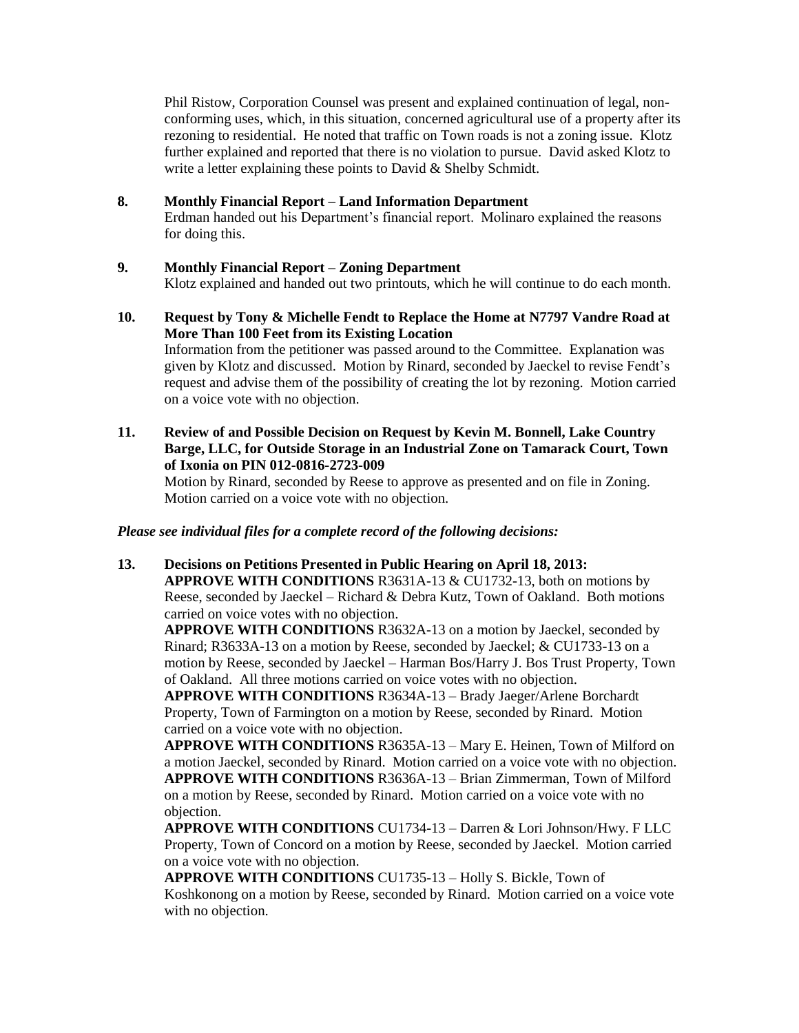Phil Ristow, Corporation Counsel was present and explained continuation of legal, nonconforming uses, which, in this situation, concerned agricultural use of a property after its rezoning to residential. He noted that traffic on Town roads is not a zoning issue. Klotz further explained and reported that there is no violation to pursue. David asked Klotz to write a letter explaining these points to David & Shelby Schmidt.

### **8. Monthly Financial Report – Land Information Department**

Erdman handed out his Department's financial report. Molinaro explained the reasons for doing this.

### **9. Monthly Financial Report – Zoning Department**

Klotz explained and handed out two printouts, which he will continue to do each month.

- **10. Request by Tony & Michelle Fendt to Replace the Home at N7797 Vandre Road at More Than 100 Feet from its Existing Location** Information from the petitioner was passed around to the Committee. Explanation was given by Klotz and discussed. Motion by Rinard, seconded by Jaeckel to revise Fendt's request and advise them of the possibility of creating the lot by rezoning. Motion carried on a voice vote with no objection.
- **11. Review of and Possible Decision on Request by Kevin M. Bonnell, Lake Country Barge, LLC, for Outside Storage in an Industrial Zone on Tamarack Court, Town of Ixonia on PIN 012-0816-2723-009**

Motion by Rinard, seconded by Reese to approve as presented and on file in Zoning. Motion carried on a voice vote with no objection.

*Please see individual files for a complete record of the following decisions:*

# **13. Decisions on Petitions Presented in Public Hearing on April 18, 2013: APPROVE WITH CONDITIONS** R3631A-13 & CU1732-13, both on motions by

Reese, seconded by Jaeckel – Richard & Debra Kutz, Town of Oakland. Both motions carried on voice votes with no objection.

**APPROVE WITH CONDITIONS** R3632A-13 on a motion by Jaeckel, seconded by Rinard; R3633A-13 on a motion by Reese, seconded by Jaeckel; & CU1733-13 on a motion by Reese, seconded by Jaeckel – Harman Bos/Harry J. Bos Trust Property, Town of Oakland. All three motions carried on voice votes with no objection.

**APPROVE WITH CONDITIONS** R3634A-13 – Brady Jaeger/Arlene Borchardt Property, Town of Farmington on a motion by Reese, seconded by Rinard. Motion carried on a voice vote with no objection.

**APPROVE WITH CONDITIONS** R3635A-13 – Mary E. Heinen, Town of Milford on a motion Jaeckel, seconded by Rinard. Motion carried on a voice vote with no objection. **APPROVE WITH CONDITIONS** R3636A-13 – Brian Zimmerman, Town of Milford on a motion by Reese, seconded by Rinard. Motion carried on a voice vote with no objection.

**APPROVE WITH CONDITIONS** CU1734-13 – Darren & Lori Johnson/Hwy. F LLC Property, Town of Concord on a motion by Reese, seconded by Jaeckel. Motion carried on a voice vote with no objection.

**APPROVE WITH CONDITIONS** CU1735-13 – Holly S. Bickle, Town of Koshkonong on a motion by Reese, seconded by Rinard. Motion carried on a voice vote with no objection.